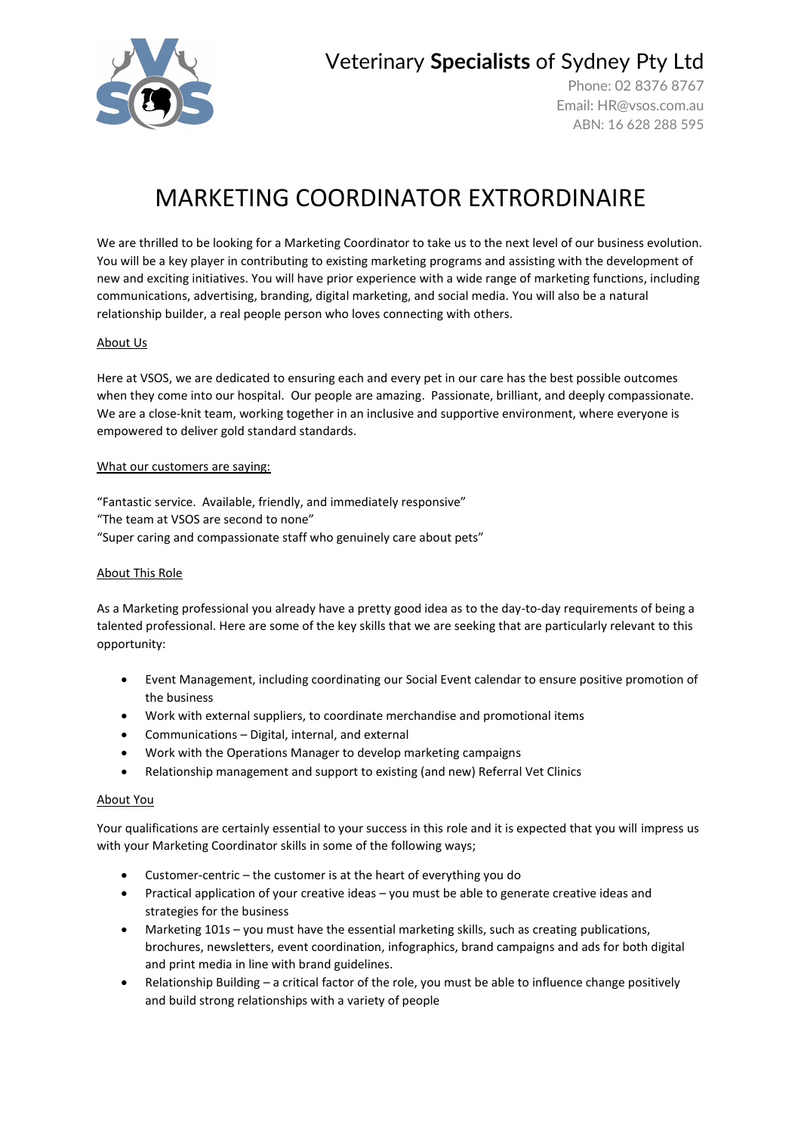

Veterinary **Specialists** of Sydney Pty Ltd

Phone: 02 8376 8767 Email: [HR@vsos.com.au](mailto:HR@vsos.com.au) ABN: 16 628 288 595

# MARKETING COORDINATOR EXTRORDINAIRE

We are thrilled to be looking for a Marketing Coordinator to take us to the next level of our business evolution. You will be a key player in contributing to existing marketing programs and assisting with the development of new and exciting initiatives. You will have prior experience with a wide range of marketing functions, including communications, advertising, branding, digital marketing, and social media. You will also be a natural relationship builder, a real people person who loves connecting with others.

# About Us

Here at VSOS, we are dedicated to ensuring each and every pet in our care has the best possible outcomes when they come into our hospital. Our people are amazing. Passionate, brilliant, and deeply compassionate. We are a close-knit team, working together in an inclusive and supportive environment, where everyone is empowered to deliver gold standard standards.

#### What our customers are saying:

"Fantastic service. Available, friendly, and immediately responsive" "The team at VSOS are second to none" "Super caring and compassionate staff who genuinely care about pets"

#### About This Role

As a Marketing professional you already have a pretty good idea as to the day-to-day requirements of being a talented professional. Here are some of the key skills that we are seeking that are particularly relevant to this opportunity:

- Event Management, including coordinating our Social Event calendar to ensure positive promotion of the business
- Work with external suppliers, to coordinate merchandise and promotional items
- Communications Digital, internal, and external
- Work with the Operations Manager to develop marketing campaigns
- Relationship management and support to existing (and new) Referral Vet Clinics

#### About You

Your qualifications are certainly essential to your success in this role and it is expected that you will impress us with your Marketing Coordinator skills in some of the following ways;

- Customer-centric the customer is at the heart of everything you do
- Practical application of your creative ideas you must be able to generate creative ideas and strategies for the business
- Marketing 101s you must have the essential marketing skills, such as creating publications, brochures, newsletters, event coordination, infographics, brand campaigns and ads for both digital and print media in line with brand guidelines.
- Relationship Building a critical factor of the role, you must be able to influence change positively and build strong relationships with a variety of people